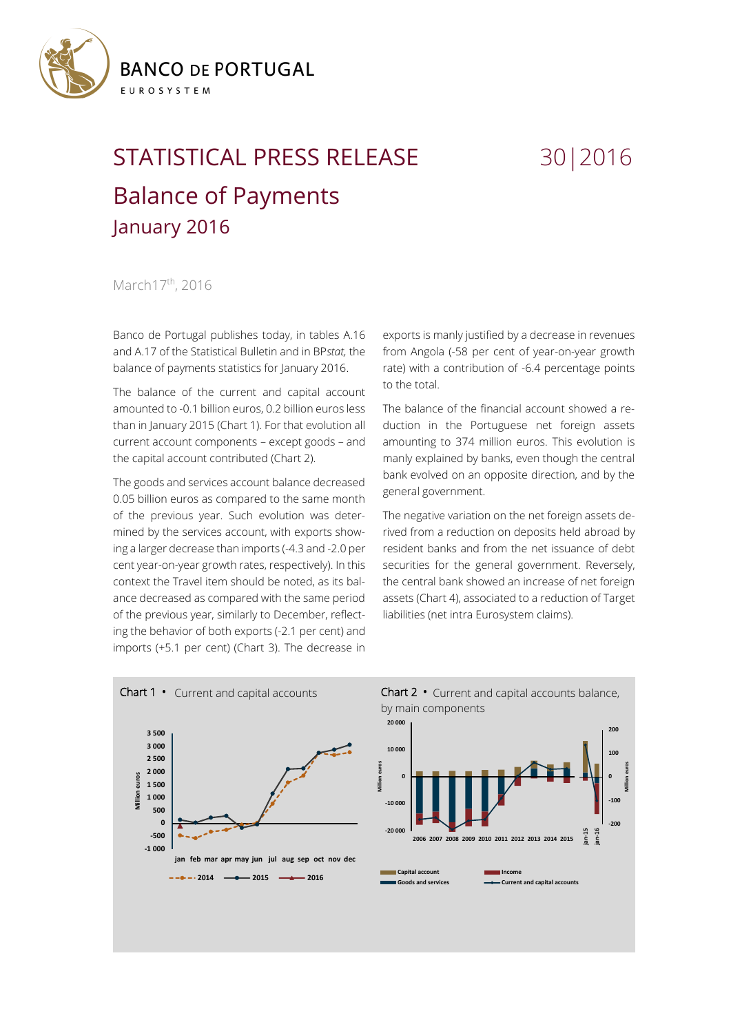

## STATISTICAL PRESS RELEASE 30 | 2016 Balance of Payments January 2016

## March17<sup>th</sup>, 2016

Banco de Portugal publishes today, in tables A.16 and A.17 of the Statistical Bulletin and in BP*stat,* the balance of payments statistics for January 2016.

The balance of the current and capital account amounted to -0.1 billion euros, 0.2 billion euros less than in January 2015 (Chart 1). For that evolution all current account components – except goods – and the capital account contributed (Chart 2).

The goods and services account balance decreased 0.05 billion euros as compared to the same month of the previous year. Such evolution was determined by the services account, with exports showing a larger decrease than imports (-4.3 and -2.0 per cent year-on-year growth rates, respectively). In this context the Travel item should be noted, as its balance decreased as compared with the same period of the previous year, similarly to December, reflecting the behavior of both exports (-2.1 per cent) and imports (+5.1 per cent) (Chart 3). The decrease in

exports is manly justified by a decrease in revenues from Angola (-58 per cent of year-on-year growth rate) with a contribution of -6.4 percentage points to the total.

The balance of the financial account showed a reduction in the Portuguese net foreign assets amounting to 374 million euros. This evolution is manly explained by banks, even though the central bank evolved on an opposite direction, and by the general government.

The negative variation on the net foreign assets derived from a reduction on deposits held abroad by resident banks and from the net issuance of debt securities for the general government. Reversely, the central bank showed an increase of net foreign assets (Chart 4), associated to a reduction of Target liabilities (net intra Eurosystem claims).



Chart 2 **•** Current and capital accounts balance, by main components